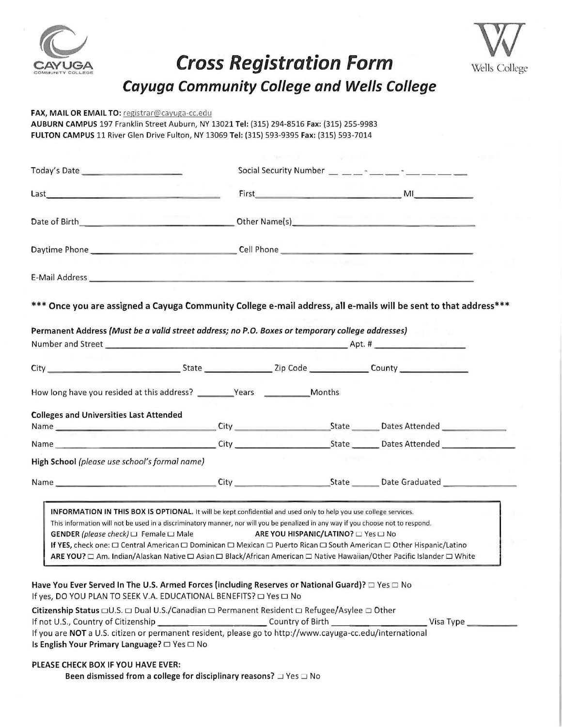

## CAYUGA Cross Registration Form Cross Registration Form<br>Cayuga Community College and Wells College



|                                                                                                                                                                                                                                                                                                                                                                                                                                                                                                                                                     |                                                   | <b>Cross Registration Form</b>             |                                         |                                              | Wells Colle |
|-----------------------------------------------------------------------------------------------------------------------------------------------------------------------------------------------------------------------------------------------------------------------------------------------------------------------------------------------------------------------------------------------------------------------------------------------------------------------------------------------------------------------------------------------------|---------------------------------------------------|--------------------------------------------|-----------------------------------------|----------------------------------------------|-------------|
|                                                                                                                                                                                                                                                                                                                                                                                                                                                                                                                                                     | <b>Cayuga Community College and Wells College</b> |                                            |                                         |                                              |             |
| FAX, MAIL OR EMAIL TO: registrar@cayuga-cc.edu                                                                                                                                                                                                                                                                                                                                                                                                                                                                                                      |                                                   |                                            |                                         |                                              |             |
| AUBURN CAMPUS 197 Franklin Street Auburn, NY 13021 Tel: (315) 294-8516 Fax: (315) 255-9983<br>FULTON CAMPUS 11 River Glen Drive Fulton, NY 13069 Tel: (315) 593-9395 Fax: (315) 593-7014                                                                                                                                                                                                                                                                                                                                                            |                                                   |                                            |                                         |                                              |             |
|                                                                                                                                                                                                                                                                                                                                                                                                                                                                                                                                                     |                                                   |                                            |                                         |                                              |             |
|                                                                                                                                                                                                                                                                                                                                                                                                                                                                                                                                                     |                                                   |                                            |                                         |                                              |             |
|                                                                                                                                                                                                                                                                                                                                                                                                                                                                                                                                                     |                                                   |                                            |                                         | Social Security Number $\_\_$ $\_\_$ $\_\_$  |             |
| the control of the control of the con-                                                                                                                                                                                                                                                                                                                                                                                                                                                                                                              |                                                   | First                                      | and the state of the state of the state | <b>MILLION CONTRACTOR</b> MILLION CONTRACTOR |             |
|                                                                                                                                                                                                                                                                                                                                                                                                                                                                                                                                                     |                                                   |                                            |                                         |                                              |             |
|                                                                                                                                                                                                                                                                                                                                                                                                                                                                                                                                                     |                                                   |                                            |                                         |                                              |             |
|                                                                                                                                                                                                                                                                                                                                                                                                                                                                                                                                                     |                                                   |                                            |                                         |                                              |             |
|                                                                                                                                                                                                                                                                                                                                                                                                                                                                                                                                                     |                                                   |                                            |                                         |                                              |             |
|                                                                                                                                                                                                                                                                                                                                                                                                                                                                                                                                                     |                                                   |                                            |                                         |                                              |             |
|                                                                                                                                                                                                                                                                                                                                                                                                                                                                                                                                                     |                                                   |                                            |                                         | $Apt.$ #                                     |             |
|                                                                                                                                                                                                                                                                                                                                                                                                                                                                                                                                                     |                                                   |                                            |                                         |                                              |             |
|                                                                                                                                                                                                                                                                                                                                                                                                                                                                                                                                                     |                                                   |                                            | Months                                  |                                              |             |
|                                                                                                                                                                                                                                                                                                                                                                                                                                                                                                                                                     |                                                   |                                            |                                         |                                              |             |
|                                                                                                                                                                                                                                                                                                                                                                                                                                                                                                                                                     |                                                   |                                            |                                         |                                              |             |
|                                                                                                                                                                                                                                                                                                                                                                                                                                                                                                                                                     |                                                   |                                            |                                         |                                              |             |
|                                                                                                                                                                                                                                                                                                                                                                                                                                                                                                                                                     |                                                   |                                            |                                         |                                              |             |
| Today's Date _____________________<br>Last<br>Date of Birth<br>*** Once you are assigned a Cayuga Community College e-mail address, all e-mails will be sent to that address***<br>Permanent Address (Must be a valid street address; no P.O. Boxes or temporary college addresses)<br>Number and Street <b>And Accept and Street</b><br>How long have you resided at this address? __________Years _____________________<br><b>Colleges and Universities Last Attended</b><br>High School (please use school's formal name)<br>Name City City City |                                                   |                                            |                                         | State <b>Contract Date Graduated</b>         |             |
| INFORMATION IN THIS BOX IS OPTIONAL. It will be kept confidential and used only to help you use college services.<br>This information will not be used in a discriminatory manner, nor will you be penalized in any way if you choose not to respond.                                                                                                                                                                                                                                                                                               |                                                   |                                            |                                         |                                              |             |
| <b>GENDER</b> (please check) $\Box$ Female $\Box$ Male<br>If YES, check one: □ Central American □ Dominican □ Mexican □ Puerto Rican □ South American □ Other Hispanic/Latino                                                                                                                                                                                                                                                                                                                                                                       |                                                   | <b>ARE YOU HISPANIC/LATINO?</b> □ Yes □ No |                                         |                                              |             |

| If not U.S., Country of Citizenship                                                                      | Country of Birth | Visa Type |
|----------------------------------------------------------------------------------------------------------|------------------|-----------|
| If you are NOT a U.S. citizen or permanent resident, please go to http://www.cayuga-cc.edu/international |                  |           |
| Is English Your Primary Language? $\Box$ Yes $\Box$ No                                                   |                  |           |

Citizenship Status  $\Box$ U.S.  $\Box$  Dual U.S./Canadian  $\Box$  Permanent Resident  $\Box$  Refugee/Asylee  $\Box$  Other

## **DU HAVE**<br>from a co PLEASE CHECK BOX IF YOU HAVE EVER:

neen eerth to christ even.<br>Been dismissed from a college for disciplinary reasons?  $\Box$  Yes  $\Box$  No